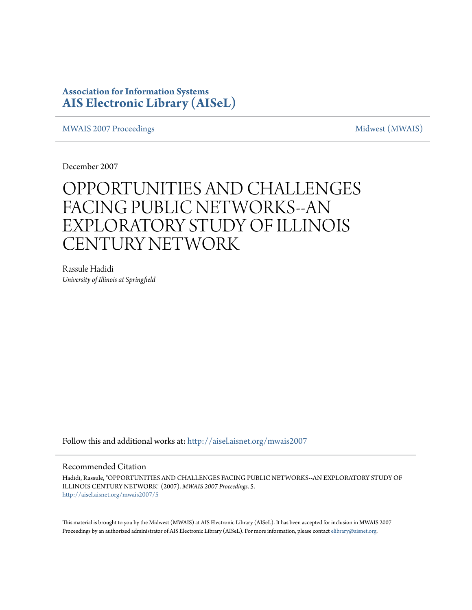# **Association for Information Systems [AIS Electronic Library \(AISeL\)](http://aisel.aisnet.org?utm_source=aisel.aisnet.org%2Fmwais2007%2F5&utm_medium=PDF&utm_campaign=PDFCoverPages)**

[MWAIS 2007 Proceedings](http://aisel.aisnet.org/mwais2007?utm_source=aisel.aisnet.org%2Fmwais2007%2F5&utm_medium=PDF&utm_campaign=PDFCoverPages) and the matrix of the [Midwest \(MWAIS\)](http://aisel.aisnet.org/mwais?utm_source=aisel.aisnet.org%2Fmwais2007%2F5&utm_medium=PDF&utm_campaign=PDFCoverPages)

December 2007

# OPPORTUNITIES AND CHALLENGES FACING PUBLIC NETWORKS--AN EXPLORATORY STUDY OF ILLINOIS CENTURY NETWORK

Rassule Hadidi *University of Illinois at Springfield*

Follow this and additional works at: [http://aisel.aisnet.org/mwais2007](http://aisel.aisnet.org/mwais2007?utm_source=aisel.aisnet.org%2Fmwais2007%2F5&utm_medium=PDF&utm_campaign=PDFCoverPages)

## Recommended Citation

Hadidi, Rassule, "OPPORTUNITIES AND CHALLENGES FACING PUBLIC NETWORKS--AN EXPLORATORY STUDY OF ILLINOIS CENTURY NETWORK" (2007). *MWAIS 2007 Proceedings*. 5. [http://aisel.aisnet.org/mwais2007/5](http://aisel.aisnet.org/mwais2007/5?utm_source=aisel.aisnet.org%2Fmwais2007%2F5&utm_medium=PDF&utm_campaign=PDFCoverPages)

This material is brought to you by the Midwest (MWAIS) at AIS Electronic Library (AISeL). It has been accepted for inclusion in MWAIS 2007 Proceedings by an authorized administrator of AIS Electronic Library (AISeL). For more information, please contact [elibrary@aisnet.org](mailto:elibrary@aisnet.org%3E).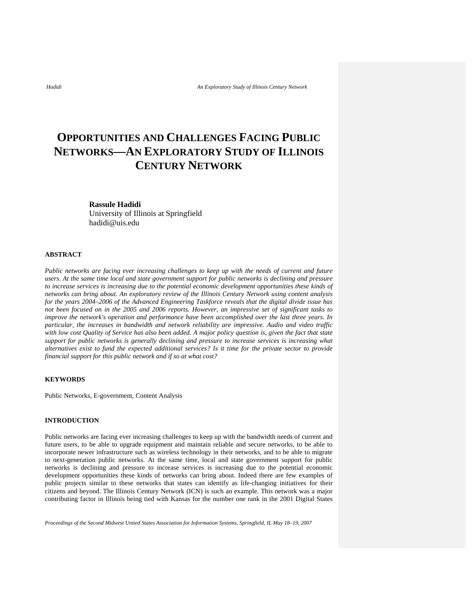# **OPPORTUNITIES AND CHALLENGES FACING PUBLIC NETWORKS—AN EXPLORATORY STUDY OF ILLINOIS CENTURY NETWORK**

### **Rassule Hadidi**

University of Illinois at Springfield hadidi@uis.edu

### **ABSTRACT**

*Public networks are facing ever increasing challenges to keep up with the needs of current and future users. At the same time local and state government support for public networks is declining and pressure to increase services is increasing due to the potential economic development opportunities these kinds of networks can bring about. An exploratory review of the Illinois Century Network using content analysis for the years 2004–2006 of the Advanced Engineering Taskforce reveals that the digital divide issue has not been focused on in the 2005 and 2006 reports. However, an impressive set of significant tasks to improve the network's operation and performance have been accomplished over the last three years. In particular, the increases in bandwidth and network reliability are impressive. Audio and video traffic with low cost Quality of Service has also been added. A major policy question is, given the fact that state support for public networks is generally declining and pressure to increase services is increasing what alternatives exist to fund the expected additional services? Is it time for the private sector to provide financial support for this public network and if so at what cost?* 

### **KEYWORDS**

Public Networks, E-government, Content Analysis

### **INTRODUCTION**

Public networks are facing ever increasing challenges to keep up with the bandwidth needs of current and future users, to be able to upgrade equipment and maintain reliable and secure networks, to be able to incorporate newer infrastructure such as wireless technology in their networks, and to be able to migrate to next-generation public networks. At the same time, local and state government support for public networks is declining and pressure to increase services is increasing due to the potential economic development opportunities these kinds of networks can bring about. Indeed there are few examples of public projects similar to these networks that states can identify as life-changing initiatives for their citizens and beyond. The Illinois Century Network (ICN) is such an example. This network was a major contributing factor in Illinois being tied with Kansas for the number one rank in the 2001 Digital States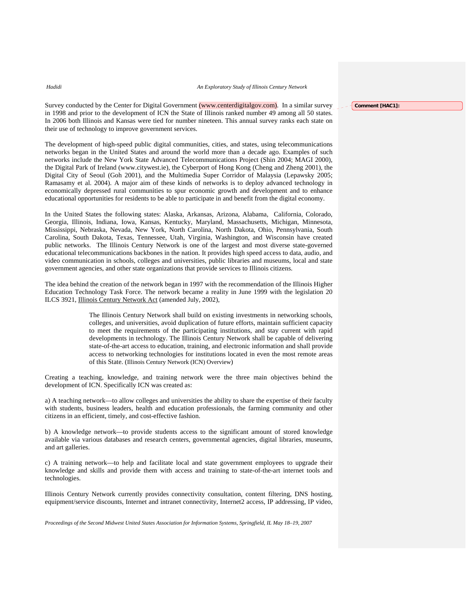Survey conducted by the Center for Digital Government (www.centerdigitalgov.com). In a similar survey in 1998 and prior to the development of ICN the State of Illinois ranked number 49 among all 50 states. In 2006 both Illinois and Kansas were tied for number nineteen. This annual survey ranks each state on their use of technology to improve government services.

The development of high-speed public digital communities, cities, and states, using telecommunications networks began in the United States and around the world more than a decade ago. Examples of such networks include the New York State Advanced Telecommunications Project (Shin 2004; MAGI 2000), the Digital Park of Ireland (www.citywest.ie), the Cyberport of Hong Kong (Cheng and Zheng 2001), the Digital City of Seoul (Goh 2001), and the Multimedia Super Corridor of Malaysia (Lepawsky 2005; Ramasamy et al. 2004). A major aim of these kinds of networks is to deploy advanced technology in economically depressed rural communities to spur economic growth and development and to enhance educational opportunities for residents to be able to participate in and benefit from the digital economy.

In the United States the following states: Alaska, Arkansas, Arizona, Alabama, California, Colorado, Georgia, Illinois, Indiana, Iowa, Kansas, Kentucky, Maryland, Massachusetts, Michigan, Minnesota, Mississippi, Nebraska, Nevada, New York, North Carolina, North Dakota, Ohio, Pennsylvania, South Carolina, South Dakota, Texas, Tennessee, Utah, Virginia, Washington, and Wisconsin have created public networks. The Illinois Century Network is one of the largest and most diverse state-governed educational telecommunications backbones in the nation. It provides high speed access to data, audio, and video communication in schools, colleges and universities, public libraries and museums, local and state government agencies, and other state organizations that provide services to Illinois citizens.

The idea behind the creation of the network began in 1997 with the recommendation of the Illinois Higher Education Technology Task Force. The network became a reality in June 1999 with the legislation 20 ILCS 3921, Illinois Century Network Act (amended July, 2002),

> The Illinois Century Network shall build on existing investments in networking schools, colleges, and universities, avoid duplication of future efforts, maintain sufficient capacity to meet the requirements of the participating institutions, and stay current with rapid developments in technology. The Illinois Century Network shall be capable of delivering state-of-the-art access to education, training, and electronic information and shall provide access to networking technologies for institutions located in even the most remote areas of this State. (Illinois Century Network (ICN) Overview)

Creating a teaching, knowledge, and training network were the three main objectives behind the development of ICN. Specifically ICN was created as:

a) A teaching network—to allow colleges and universities the ability to share the expertise of their faculty with students, business leaders, health and education professionals, the farming community and other citizens in an efficient, timely, and cost-effective fashion.

b) A knowledge network—to provide students access to the significant amount of stored knowledge available via various databases and research centers, governmental agencies, digital libraries, museums, and art galleries.

c) A training network—to help and facilitate local and state government employees to upgrade their knowledge and skills and provide them with access and training to state-of-the-art internet tools and technologies.

Illinois Century Network currently provides connectivity consultation, content filtering, DNS hosting, equipment/service discounts, Internet and intranet connectivity, Internet2 access, IP addressing, IP video,

*Proceedings of the Second Midwest United States Association for Information Systems, Springfield, IL May 18–19, 2007* 

**Comment [HAC1]:**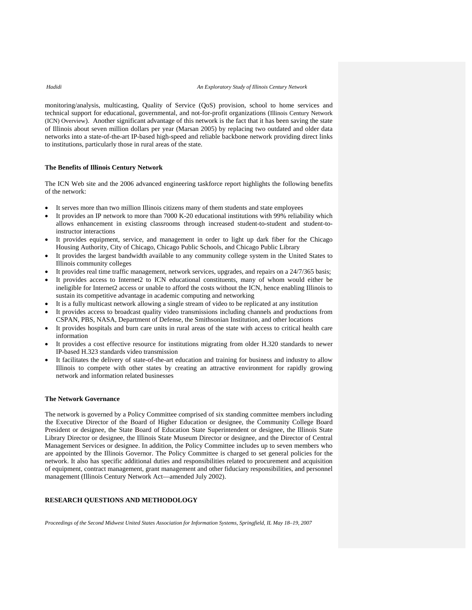monitoring/analysis, multicasting, Quality of Service (QoS) provision, school to home services and technical support for educational, governmental, and not-for-profit organizations (Illinois Century Network (ICN) Overview). Another significant advantage of this network is the fact that it has been saving the state of Illinois about seven million dollars per year (Marsan 2005) by replacing two outdated and older data networks into a state-of-the-art IP-based high-speed and reliable backbone network providing direct links to institutions, particularly those in rural areas of the state.

### **The Benefits of Illinois Century Network**

The ICN Web site and the 2006 advanced engineering taskforce report highlights the following benefits of the network:

- It serves more than two million Illinois citizens many of them students and state employees
- It provides an IP network to more than 7000 K-20 educational institutions with 99% reliability which allows enhancement in existing classrooms through increased student-to-student and student-toinstructor interactions
- It provides equipment, service, and management in order to light up dark fiber for the Chicago Housing Authority, City of Chicago, Chicago Public Schools, and Chicago Public Library
- It provides the largest bandwidth available to any community college system in the United States to Illinois community colleges
- It provides real time traffic management, network services, upgrades, and repairs on a 24/7/365 basis;
- It provides access to Internet2 to ICN educational constituents, many of whom would either be ineligible for Internet2 access or unable to afford the costs without the ICN, hence enabling Illinois to sustain its competitive advantage in academic computing and networking
- It is a fully multicast network allowing a single stream of video to be replicated at any institution
- It provides access to broadcast quality video transmissions including channels and productions from CSPAN, PBS, NASA, Department of Defense, the Smithsonian Institution, and other locations
- It provides hospitals and burn care units in rural areas of the state with access to critical health care information
- It provides a cost effective resource for institutions migrating from older H.320 standards to newer IP-based H.323 standards video transmission
- It facilitates the delivery of state-of-the-art education and training for business and industry to allow Illinois to compete with other states by creating an attractive environment for rapidly growing network and information related businesses

### **The Network Governance**

The network is governed by a Policy Committee comprised of six standing committee members including the Executive Director of the Board of Higher Education or designee, the Community College Board President or designee, the State Board of Education State Superintendent or designee, the Illinois State Library Director or designee, the Illinois State Museum Director or designee, and the Director of Central Management Services or designee. In addition, the Policy Committee includes up to seven members who are appointed by the Illinois Governor. The Policy Committee is charged to set general policies for the network. It also has specific additional duties and responsibilities related to procurement and acquisition of equipment, contract management, grant management and other fiduciary responsibilities, and personnel management (Illinois Century Network Act—amended July 2002).

### **RESEARCH QUESTIONS AND METHODOLOGY**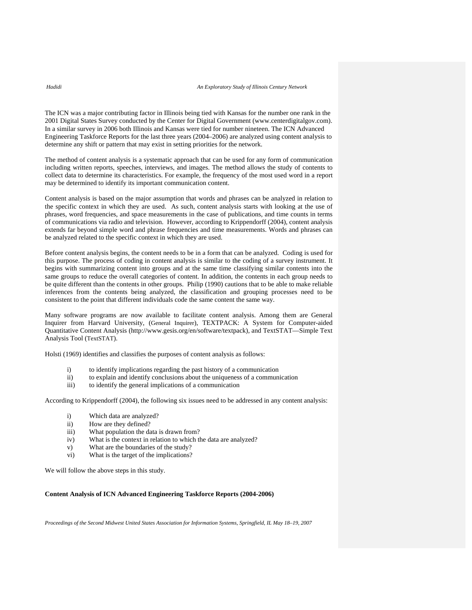The ICN was a major contributing factor in Illinois being tied with Kansas for the number one rank in the 2001 Digital States Survey conducted by the Center for Digital Government (www.centerdigitalgov.com). In a similar survey in 2006 both Illinois and Kansas were tied for number nineteen. The ICN Advanced Engineering Taskforce Reports for the last three years (2004–2006) are analyzed using content analysis to determine any shift or pattern that may exist in setting priorities for the network.

The method of content analysis is a systematic approach that can be used for any form of communication including written reports, speeches, interviews, and images. The method allows the study of contents to collect data to determine its characteristics. For example, the frequency of the most used word in a report may be determined to identify its important communication content.

Content analysis is based on the major assumption that words and phrases can be analyzed in relation to the specific context in which they are used. As such, content analysis starts with looking at the use of phrases, word frequencies, and space measurements in the case of publications, and time counts in terms of communications via radio and television. However, according to Krippendorff (2004), content analysis extends far beyond simple word and phrase frequencies and time measurements. Words and phrases can be analyzed related to the specific context in which they are used.

Before content analysis begins, the content needs to be in a form that can be analyzed. Coding is used for this purpose. The process of coding in content analysis is similar to the coding of a survey instrument. It begins with summarizing content into groups and at the same time classifying similar contents into the same groups to reduce the overall categories of content. In addition, the contents in each group needs to be quite different than the contents in other groups. Philip (1990) cautions that to be able to make reliable inferences from the contents being analyzed, the classification and grouping processes need to be consistent to the point that different individuals code the same content the same way.

Many software programs are now available to facilitate content analysis. Among them are General Inquirer from Harvard University, (General Inquirer), TEXTPACK: A System for Computer-aided Quantitative Content Analysis (http://www.gesis.org/en/software/textpack), and TextSTAT—Simple Text Analysis Tool (TextSTAT).

Holsti (1969) identifies and classifies the purposes of content analysis as follows:

- i) to identify implications regarding the past history of a communication
- ii) to explain and identify conclusions about the uniqueness of a communication
- iii) to identify the general implications of a communication

According to Krippendorff (2004), the following six issues need to be addressed in any content analysis:

- i) Which data are analyzed?
- ii) How are they defined?
- iii) What population the data is drawn from?
- iv) What is the context in relation to which the data are analyzed?
- v) What are the boundaries of the study?
- vi) What is the target of the implications?

We will follow the above steps in this study.

### **Content Analysis of ICN Advanced Engineering Taskforce Reports (2004-2006)**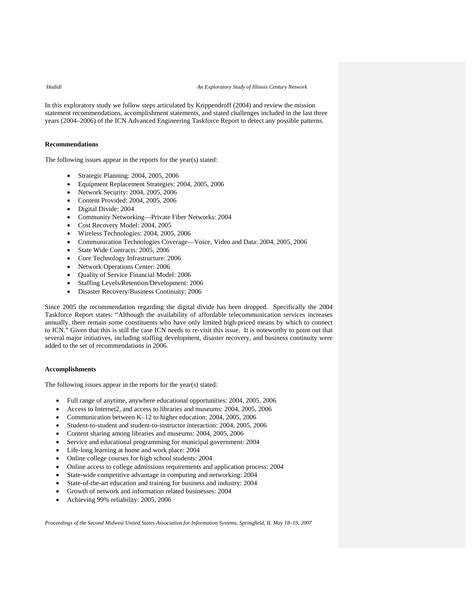In this exploratory study we follow steps articulated by Krippendroff (2004) and review the mission statement recommendations, accomplishment statements, and stated challenges included in the last three years (2004–2006) of the ICN Advanced Engineering Taskforce Report to detect any possible patterns.

### **Recommendations**

The following issues appear in the reports for the year(s) stated:

- Strategic Planning: 2004, 2005, 2006
- Equipment Replacement Strategies: 2004, 2005, 2006
- Network Security: 2004, 2005, 2006
- Content Provided: 2004, 2005, 2006
- Digital Divide: 2004
- Community Networking—Private Fiber Networks: 2004
- Cost Recovery Model: 2004, 2005
- Wireless Technologies: 2004, 2005, 2006
- Communication Technologies Coverage—Voice, Video and Data: 2004, 2005, 2006
- State Wide Contracts: 2005, 2006
- Core Technology Infrastructure: 2006
- Network Operations Center: 2006
- Quality of Service Financial Model: 2006
- Staffing Levels/Retention/Development: 2006
- Disaster Recovery/Business Continuity: 2006

Since 2005 the recommendation regarding the digital divide has been dropped. Specifically the 2004 Taskforce Report states: "Although the availability of affordable telecommunication services increases annually, there remain some constituents who have only limited high-priced means by which to connect to ICN." Given that this is still the case ICN needs to re-visit this issue. It is noteworthy to point out that several major initiatives, including staffing development, disaster recovery, and business continuity were added to the set of recommendations in 2006.

### **Accomplishments**

The following issues appear in the reports for the year(s) stated:

- Full range of anytime, anywhere educational opportunities: 2004, 2005, 2006
- Access to Internet2, and access to libraries and museums: 2004, 2005, 2006
- Communication between K–12 to higher education: 2004, 2005, 2006
- Student-to-student and student-to-instructor interaction: 2004, 2005, 2006
- Content sharing among libraries and museums: 2004, 2005, 2006
- Service and educational programming for municipal government: 2004
- Life-long learning at home and work place: 2004
- Online college courses for high school students: 2004
- Online access to college admissions requirements and application process: 2004
- State-wide competitive advantage in computing and networking: 2004
- State-of-the-art education and training for business and industry: 2004
- Growth of network and information related businesses: 2004
- Achieving 99% reliability: 2005, 2006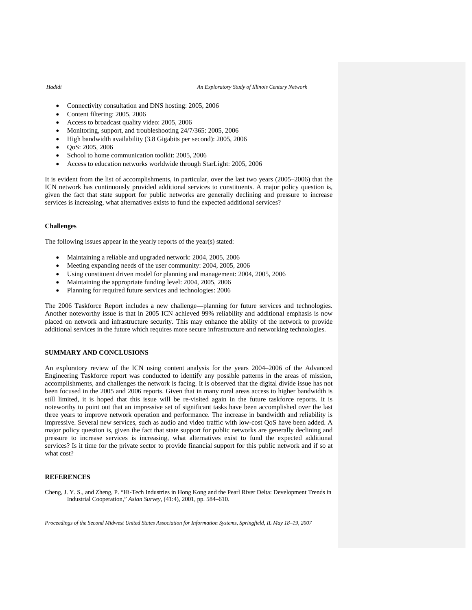### *Hadidi An Exploratory Study of Illinois Century Network*

- Connectivity consultation and DNS hosting: 2005, 2006
- Content filtering: 2005, 2006
- Access to broadcast quality video: 2005, 2006
- Monitoring, support, and troubleshooting 24/7/365: 2005, 2006
- High bandwidth availability (3.8 Gigabits per second): 2005, 2006
- QoS: 2005, 2006
- School to home communication toolkit: 2005, 2006
- Access to education networks worldwide through StarLight: 2005, 2006

It is evident from the list of accomplishments, in particular, over the last two years (2005–2006) that the ICN network has continuously provided additional services to constituents. A major policy question is, given the fact that state support for public networks are generally declining and pressure to increase services is increasing, what alternatives exists to fund the expected additional services?

### **Challenges**

The following issues appear in the yearly reports of the year(s) stated:

- Maintaining a reliable and upgraded network: 2004, 2005, 2006
- Meeting expanding needs of the user community: 2004, 2005, 2006
- Using constituent driven model for planning and management: 2004, 2005, 2006
- Maintaining the appropriate funding level: 2004, 2005, 2006
- Planning for required future services and technologies: 2006

The 2006 Taskforce Report includes a new challenge—planning for future services and technologies. Another noteworthy issue is that in 2005 ICN achieved 99% reliability and additional emphasis is now placed on network and infrastructure security. This may enhance the ability of the network to provide additional services in the future which requires more secure infrastructure and networking technologies.

### **SUMMARY AND CONCLUSIONS**

An exploratory review of the ICN using content analysis for the years 2004–2006 of the Advanced Engineering Taskforce report was conducted to identify any possible patterns in the areas of mission, accomplishments, and challenges the network is facing. It is observed that the digital divide issue has not been focused in the 2005 and 2006 reports. Given that in many rural areas access to higher bandwidth is still limited, it is hoped that this issue will be re-visited again in the future taskforce reports. It is noteworthy to point out that an impressive set of significant tasks have been accomplished over the last three years to improve network operation and performance. The increase in bandwidth and reliability is impressive. Several new services, such as audio and video traffic with low-cost QoS have been added. A major policy question is, given the fact that state support for public networks are generally declining and pressure to increase services is increasing, what alternatives exist to fund the expected additional services? Is it time for the private sector to provide financial support for this public network and if so at what cost?

### **REFERENCES**

Cheng, J. Y. S., and Zheng, P. "Hi-Tech Industries in Hong Kong and the Pearl River Delta: Development Trends in Industrial Cooperation," *Asian Survey*, (41:4), 2001, pp. 584–610.